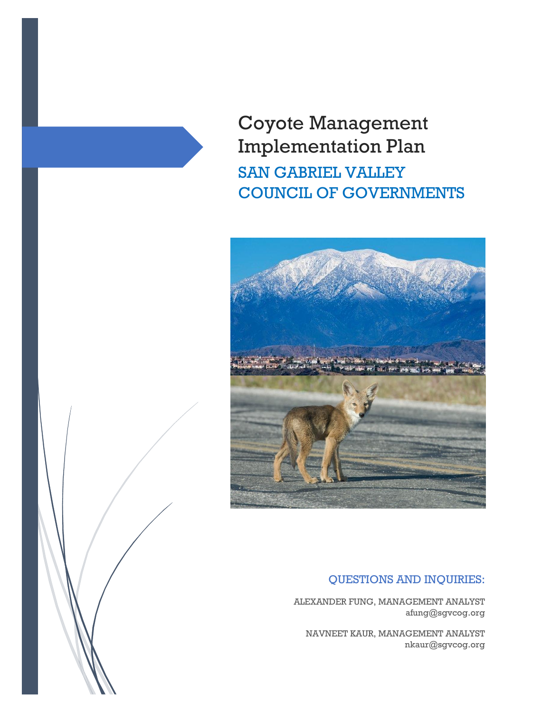Coyote Management Implementation Plan SAN GABRIEL VALLEY COUNCIL OF GOVERNMENTS



## QUESTIONS AND INQUIRIES:

ALEXANDER FUNG, MANAGEMENT ANALYST afung@sgvcog.org

NAVNEET KAUR, MANAGEMENT ANALYST nkaur@sgvcog.org

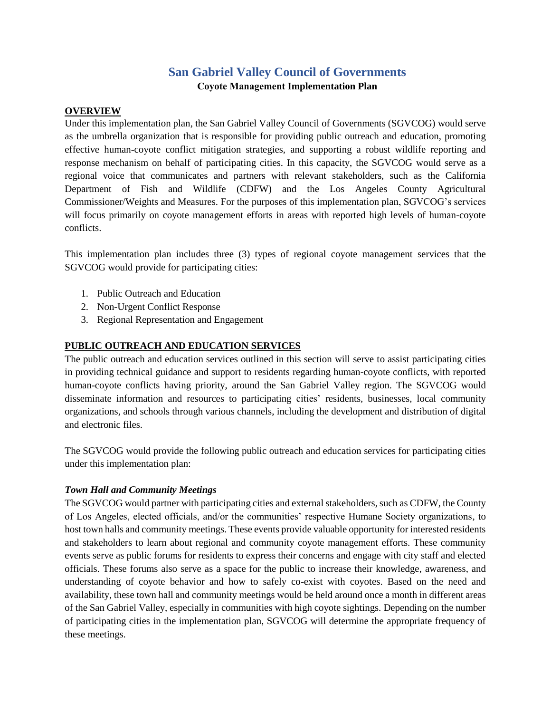# **San Gabriel Valley Council of Governments Coyote Management Implementation Plan**

#### **OVERVIEW**

Under this implementation plan, the San Gabriel Valley Council of Governments (SGVCOG) would serve as the umbrella organization that is responsible for providing public outreach and education, promoting effective human-coyote conflict mitigation strategies, and supporting a robust wildlife reporting and response mechanism on behalf of participating cities. In this capacity, the SGVCOG would serve as a regional voice that communicates and partners with relevant stakeholders, such as the California Department of Fish and Wildlife (CDFW) and the Los Angeles County Agricultural Commissioner/Weights and Measures. For the purposes of this implementation plan, SGVCOG's services will focus primarily on coyote management efforts in areas with reported high levels of human-coyote conflicts.

This implementation plan includes three (3) types of regional coyote management services that the SGVCOG would provide for participating cities:

- 1. Public Outreach and Education
- 2. Non-Urgent Conflict Response
- 3. Regional Representation and Engagement

## **PUBLIC OUTREACH AND EDUCATION SERVICES**

The public outreach and education services outlined in this section will serve to assist participating cities in providing technical guidance and support to residents regarding human-coyote conflicts, with reported human-coyote conflicts having priority, around the San Gabriel Valley region. The SGVCOG would disseminate information and resources to participating cities' residents, businesses, local community organizations, and schools through various channels, including the development and distribution of digital and electronic files.

The SGVCOG would provide the following public outreach and education services for participating cities under this implementation plan:

#### *Town Hall and Community Meetings*

The SGVCOG would partner with participating cities and external stakeholders, such as CDFW, the County of Los Angeles, elected officials, and/or the communities' respective Humane Society organizations, to host town halls and community meetings. These events provide valuable opportunity for interested residents and stakeholders to learn about regional and community coyote management efforts. These community events serve as public forums for residents to express their concerns and engage with city staff and elected officials. These forums also serve as a space for the public to increase their knowledge, awareness, and understanding of coyote behavior and how to safely co-exist with coyotes. Based on the need and availability, these town hall and community meetings would be held around once a month in different areas of the San Gabriel Valley, especially in communities with high coyote sightings. Depending on the number of participating cities in the implementation plan, SGVCOG will determine the appropriate frequency of these meetings.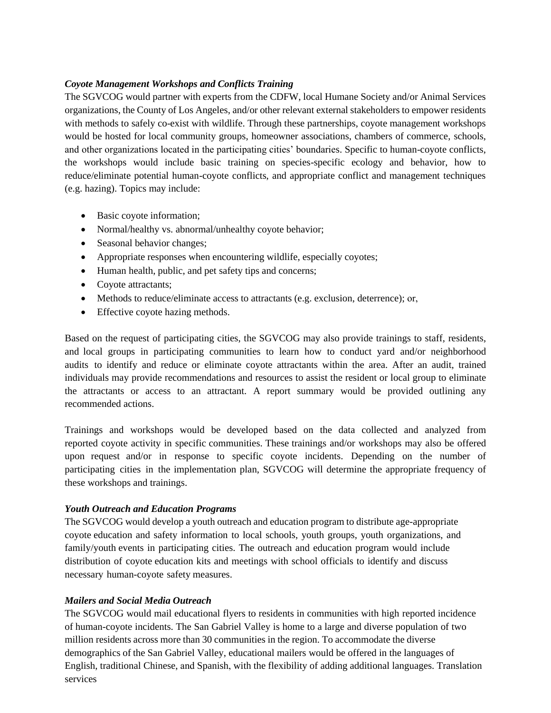#### *Coyote Management Workshops and Conflicts Training*

The SGVCOG would partner with experts from the CDFW, local Humane Society and/or Animal Services organizations, the County of Los Angeles, and/or other relevant external stakeholders to empower residents with methods to safely co-exist with wildlife. Through these partnerships, coyote management workshops would be hosted for local community groups, homeowner associations, chambers of commerce, schools, and other organizations located in the participating cities' boundaries. Specific to human-coyote conflicts, the workshops would include basic training on species-specific ecology and behavior, how to reduce/eliminate potential human-coyote conflicts, and appropriate conflict and management techniques (e.g. hazing). Topics may include:

- Basic coyote information;
- Normal/healthy vs. abnormal/unhealthy coyote behavior;
- Seasonal behavior changes;
- Appropriate responses when encountering wildlife, especially coyotes;
- Human health, public, and pet safety tips and concerns;
- Coyote attractants;
- Methods to reduce/eliminate access to attractants (e.g. exclusion, deterrence); or,
- Effective coyote hazing methods.

Based on the request of participating cities, the SGVCOG may also provide trainings to staff, residents, and local groups in participating communities to learn how to conduct yard and/or neighborhood audits to identify and reduce or eliminate coyote attractants within the area. After an audit, trained individuals may provide recommendations and resources to assist the resident or local group to eliminate the attractants or access to an attractant. A report summary would be provided outlining any recommended actions.

Trainings and workshops would be developed based on the data collected and analyzed from reported coyote activity in specific communities. These trainings and/or workshops may also be offered upon request and/or in response to specific coyote incidents. Depending on the number of participating cities in the implementation plan, SGVCOG will determine the appropriate frequency of these workshops and trainings.

#### *Youth Outreach and Education Programs*

The SGVCOG would develop a youth outreach and education program to distribute age-appropriate coyote education and safety information to local schools, youth groups, youth organizations, and family/youth events in participating cities. The outreach and education program would include distribution of coyote education kits and meetings with school officials to identify and discuss necessary human-coyote safety measures.

## *Mailers and Social Media Outreach*

The SGVCOG would mail educational flyers to residents in communities with high reported incidence of human-coyote incidents. The San Gabriel Valley is home to a large and diverse population of two million residents across more than 30 communities in the region. To accommodate the diverse demographics of the San Gabriel Valley, educational mailers would be offered in the languages of English, traditional Chinese, and Spanish, with the flexibility of adding additional languages. Translation services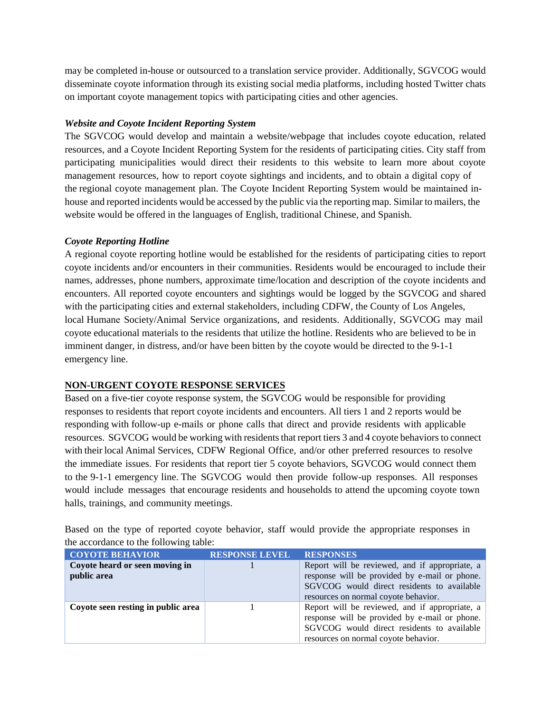may be completed in-house or outsourced to a translation service provider. Additionally, SGVCOG would disseminate coyote information through its existing social media platforms, including hosted Twitter chats on important coyote management topics with participating cities and other agencies.

## *Website and Coyote Incident Reporting System*

The SGVCOG would develop and maintain a website/webpage that includes coyote education, related resources, and a Coyote Incident Reporting System for the residents of participating cities. City staff from participating municipalities would direct their residents to this website to learn more about coyote management resources, how to report coyote sightings and incidents, and to obtain a digital copy of the regional coyote management plan. The Coyote Incident Reporting System would be maintained inhouse and reported incidents would be accessed by the public via the reporting map. Similar to mailers, the website would be offered in the languages of English, traditional Chinese, and Spanish.

#### *Coyote Reporting Hotline*

A regional coyote reporting hotline would be established for the residents of participating cities to report coyote incidents and/or encounters in their communities. Residents would be encouraged to include their names, addresses, phone numbers, approximate time/location and description of the coyote incidents and encounters. All reported coyote encounters and sightings would be logged by the SGVCOG and shared with the participating cities and external stakeholders, including CDFW, the County of Los Angeles, local Humane Society/Animal Service organizations, and residents. Additionally, SGVCOG may mail coyote educational materials to the residents that utilize the hotline. Residents who are believed to be in imminent danger, in distress, and/or have been bitten by the coyote would be directed to the 9-1-1 emergency line.

#### **NON-URGENT COYOTE RESPONSE SERVICES**

Based on a five-tier coyote response system, the SGVCOG would be responsible for providing responses to residents that report coyote incidents and encounters. All tiers 1 and 2 reports would be responding with follow-up e-mails or phone calls that direct and provide residents with applicable resources. SGVCOG would be working with residents that report tiers 3 and 4 coyote behaviors to connect with their local Animal Services, CDFW Regional Office, and/or other preferred resources to resolve the immediate issues. For residents that report tier 5 coyote behaviors, SGVCOG would connect them to the 9-1-1 emergency line. The SGVCOG would then provide follow-up responses. All responses would include messages that encourage residents and households to attend the upcoming coyote town halls, trainings, and community meetings.

|                                        |  |  |  |  |  |  |  | _________ |                                                                                                 |  |
|----------------------------------------|--|--|--|--|--|--|--|-----------|-------------------------------------------------------------------------------------------------|--|
| the accordance to the following table: |  |  |  |  |  |  |  |           |                                                                                                 |  |
|                                        |  |  |  |  |  |  |  |           | Based on the type of reported coyote behavior, staff would provide the appropriate responses in |  |

| <b>COYOTE BEHAVIOR</b>                        | <b>RESPONSE LEVEL</b> | <b>RESPONSES</b>                                                                                                                                                                      |
|-----------------------------------------------|-----------------------|---------------------------------------------------------------------------------------------------------------------------------------------------------------------------------------|
| Coyote heard or seen moving in<br>public area |                       | Report will be reviewed, and if appropriate, a<br>response will be provided by e-mail or phone.<br>SGVCOG would direct residents to available<br>resources on normal coyote behavior. |
| Coyote seen resting in public area            |                       | Report will be reviewed, and if appropriate, a<br>response will be provided by e-mail or phone.<br>SGVCOG would direct residents to available<br>resources on normal coyote behavior. |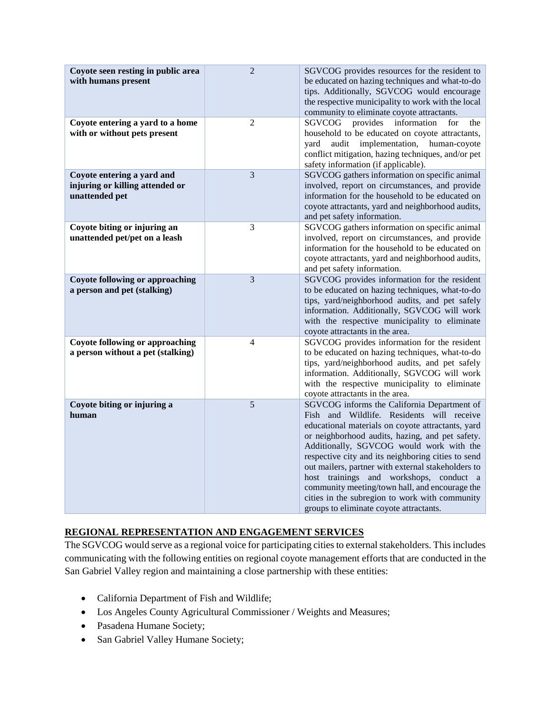| Coyote seen resting in public area<br>with humans present                       | $\overline{2}$ | SGVCOG provides resources for the resident to<br>be educated on hazing techniques and what-to-do<br>tips. Additionally, SGVCOG would encourage<br>the respective municipality to work with the local<br>community to eliminate coyote attractants.                                                                                                                                                                                                                                                                                                 |
|---------------------------------------------------------------------------------|----------------|----------------------------------------------------------------------------------------------------------------------------------------------------------------------------------------------------------------------------------------------------------------------------------------------------------------------------------------------------------------------------------------------------------------------------------------------------------------------------------------------------------------------------------------------------|
| Coyote entering a yard to a home<br>with or without pets present                | $\overline{2}$ | SGVCOG<br>provides<br>information<br>the<br>for<br>household to be educated on coyote attractants,<br>implementation,<br>human-coyote<br>yard<br>audit<br>conflict mitigation, hazing techniques, and/or pet<br>safety information (if applicable).                                                                                                                                                                                                                                                                                                |
| Coyote entering a yard and<br>injuring or killing attended or<br>unattended pet | 3              | SGVCOG gathers information on specific animal<br>involved, report on circumstances, and provide<br>information for the household to be educated on<br>coyote attractants, yard and neighborhood audits,<br>and pet safety information.                                                                                                                                                                                                                                                                                                             |
| Coyote biting or injuring an<br>unattended pet/pet on a leash                   | 3              | SGVCOG gathers information on specific animal<br>involved, report on circumstances, and provide<br>information for the household to be educated on<br>coyote attractants, yard and neighborhood audits,<br>and pet safety information.                                                                                                                                                                                                                                                                                                             |
| <b>Coyote following or approaching</b><br>a person and pet (stalking)           | 3              | SGVCOG provides information for the resident<br>to be educated on hazing techniques, what-to-do<br>tips, yard/neighborhood audits, and pet safely<br>information. Additionally, SGVCOG will work<br>with the respective municipality to eliminate<br>coyote attractants in the area.                                                                                                                                                                                                                                                               |
| <b>Coyote following or approaching</b><br>a person without a pet (stalking)     | $\overline{4}$ | SGVCOG provides information for the resident<br>to be educated on hazing techniques, what-to-do<br>tips, yard/neighborhood audits, and pet safely<br>information. Additionally, SGVCOG will work<br>with the respective municipality to eliminate<br>coyote attractants in the area.                                                                                                                                                                                                                                                               |
| Coyote biting or injuring a<br>human                                            | 5              | SGVCOG informs the California Department of<br>Fish and Wildlife. Residents will receive<br>educational materials on coyote attractants, yard<br>or neighborhood audits, hazing, and pet safety.<br>Additionally, SGVCOG would work with the<br>respective city and its neighboring cities to send<br>out mailers, partner with external stakeholders to<br>host trainings and workshops, conduct a<br>community meeting/town hall, and encourage the<br>cities in the subregion to work with community<br>groups to eliminate coyote attractants. |

## **REGIONAL REPRESENTATION AND ENGAGEMENT SERVICES**

The SGVCOG would serve as a regional voice for participating cities to external stakeholders. This includes communicating with the following entities on regional coyote management efforts that are conducted in the San Gabriel Valley region and maintaining a close partnership with these entities:

- California Department of Fish and Wildlife;
- Los Angeles County Agricultural Commissioner / Weights and Measures;
- Pasadena Humane Society;
- San Gabriel Valley Humane Society;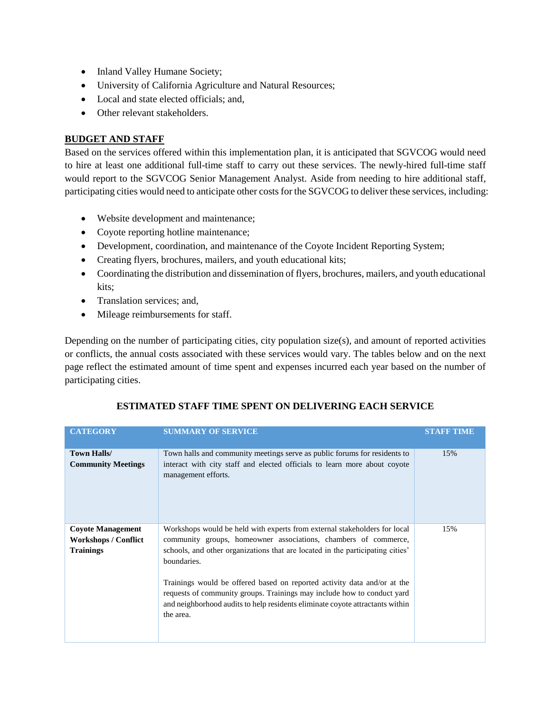- Inland Valley Humane Society;
- University of California Agriculture and Natural Resources;
- Local and state elected officials; and,
- Other relevant stakeholders.

#### **BUDGET AND STAFF**

Based on the services offered within this implementation plan, it is anticipated that SGVCOG would need to hire at least one additional full-time staff to carry out these services. The newly-hired full-time staff would report to the SGVCOG Senior Management Analyst. Aside from needing to hire additional staff, participating cities would need to anticipate other costs for the SGVCOG to deliver these services, including:

- Website development and maintenance;
- Coyote reporting hotline maintenance;
- Development, coordination, and maintenance of the Coyote Incident Reporting System;
- Creating flyers, brochures, mailers, and youth educational kits;
- Coordinating the distribution and dissemination of flyers, brochures, mailers, and youth educational kits;
- Translation services; and,
- Mileage reimbursements for staff.

Depending on the number of participating cities, city population size $(s)$ , and amount of reported activities or conflicts, the annual costs associated with these services would vary. The tables below and on the next page reflect the estimated amount of time spent and expenses incurred each year based on the number of participating cities.

| <b>CATEGORY</b>                                                             | <b>SUMMARY OF SERVICE</b>                                                                                                                                                                                                                                                                                                                                                                                                                                                                          | <b>STAFF TIME</b> |
|-----------------------------------------------------------------------------|----------------------------------------------------------------------------------------------------------------------------------------------------------------------------------------------------------------------------------------------------------------------------------------------------------------------------------------------------------------------------------------------------------------------------------------------------------------------------------------------------|-------------------|
| <b>Town Halls/</b><br><b>Community Meetings</b>                             | Town halls and community meetings serve as public forums for residents to<br>interact with city staff and elected officials to learn more about coyote<br>management efforts.                                                                                                                                                                                                                                                                                                                      | 15%               |
| <b>Coyote Management</b><br><b>Workshops / Conflict</b><br><b>Trainings</b> | Workshops would be held with experts from external stakeholders for local<br>community groups, homeowner associations, chambers of commerce,<br>schools, and other organizations that are located in the participating cities'<br>boundaries.<br>Trainings would be offered based on reported activity data and/or at the<br>requests of community groups. Trainings may include how to conduct yard<br>and neighborhood audits to help residents eliminate coyote attractants within<br>the area. | 15%               |

## **ESTIMATED STAFF TIME SPENT ON DELIVERING EACH SERVICE**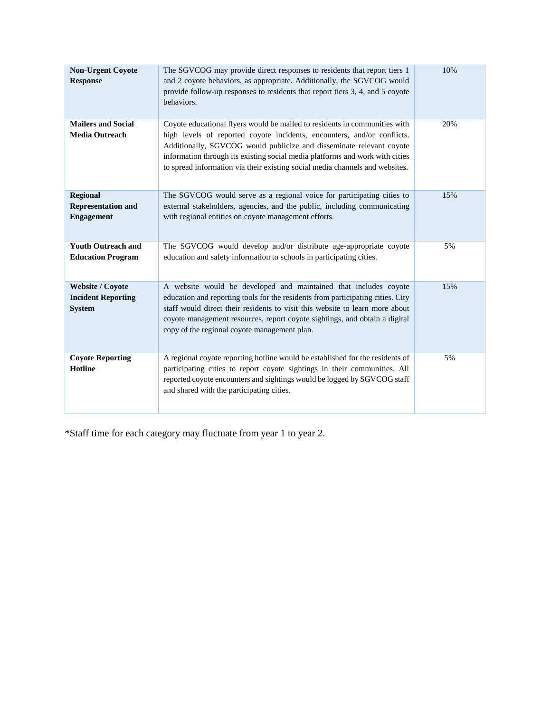| <b>Non-Urgent Coyote</b><br><b>Response</b>                           | The SGVCOG may provide direct responses to residents that report tiers 1<br>and 2 coyote behaviors, as appropriate. Additionally, the SGVCOG would<br>provide follow-up responses to residents that report tiers 3, 4, and 5 coyote<br>behaviors.                                                                                                                                             | 10% |
|-----------------------------------------------------------------------|-----------------------------------------------------------------------------------------------------------------------------------------------------------------------------------------------------------------------------------------------------------------------------------------------------------------------------------------------------------------------------------------------|-----|
| <b>Mailers and Social</b><br><b>Media Outreach</b>                    | Coyote educational flyers would be mailed to residents in communities with<br>high levels of reported coyote incidents, encounters, and/or conflicts.<br>Additionally, SGVCOG would publicize and disseminate relevant coyote<br>information through its existing social media platforms and work with cities<br>to spread information via their existing social media channels and websites. | 20% |
| <b>Regional</b><br><b>Representation and</b><br><b>Engagement</b>     | The SGVCOG would serve as a regional voice for participating cities to<br>external stakeholders, agencies, and the public, including communicating<br>with regional entities on coyote management efforts.                                                                                                                                                                                    | 15% |
| <b>Youth Outreach and</b><br><b>Education Program</b>                 | The SGVCOG would develop and/or distribute age-appropriate coyote<br>education and safety information to schools in participating cities.                                                                                                                                                                                                                                                     | 5%  |
| <b>Website / Coyote</b><br><b>Incident Reporting</b><br><b>System</b> | A website would be developed and maintained that includes coyote<br>education and reporting tools for the residents from participating cities. City<br>staff would direct their residents to visit this website to learn more about<br>coyote management resources, report coyote sightings, and obtain a digital<br>copy of the regional coyote management plan.                             | 15% |
| <b>Coyote Reporting</b><br><b>Hotline</b>                             | A regional coyote reporting hotline would be established for the residents of<br>participating cities to report coyote sightings in their communities. All<br>reported coyote encounters and sightings would be logged by SGVCOG staff<br>and shared with the participating cities.                                                                                                           | 5%  |

\*Staff time for each category may fluctuate from year 1 to year 2.